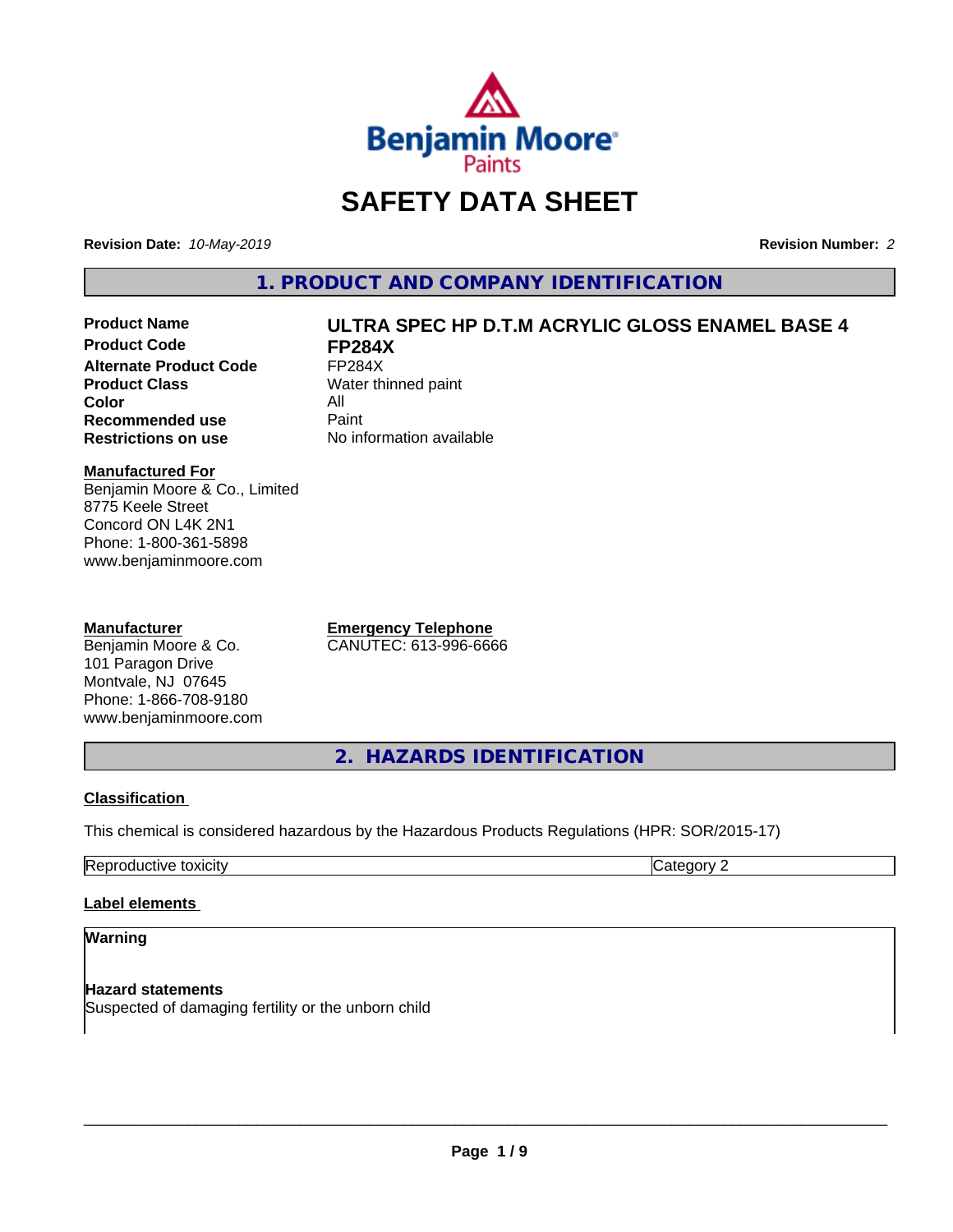

# **SAFETY DATA SHEET**

**Revision Date:** *10-May-2019* **Revision Number:** *2*

**1. PRODUCT AND COMPANY IDENTIFICATION**

**Product Code FP284X**<br>Alternate Product Code FP284X **Alternate Product Code**<br>Product Class **Color** All<br> **Recommended use** Paint **Recommended use**<br>Restrictions on use

# **Product Name ULTRA SPEC HP D.T.M ACRYLIC GLOSS ENAMEL BASE 4**

**Water thinned paint No information available** 

# **Manufactured For**

Benjamin Moore & Co., Limited 8775 Keele Street Concord ON L4K 2N1 Phone: 1-800-361-5898 www.benjaminmoore.com

# **Manufacturer**

Benjamin Moore & Co. 101 Paragon Drive Montvale, NJ 07645 Phone: 1-866-708-9180 www.benjaminmoore.com **Emergency Telephone** CANUTEC: 613-996-6666

**2. HAZARDS IDENTIFICATION**

# **Classification**

This chemical is considered hazardous by the Hazardous Products Regulations (HPR: SOR/2015-17)

| . .<br>.<br>. .<br>— —<br>.<br><br>,,, |  |
|----------------------------------------|--|
|                                        |  |

# **Label elements**

# **Warning**

**Hazard statements** Suspected of damaging fertility or the unborn child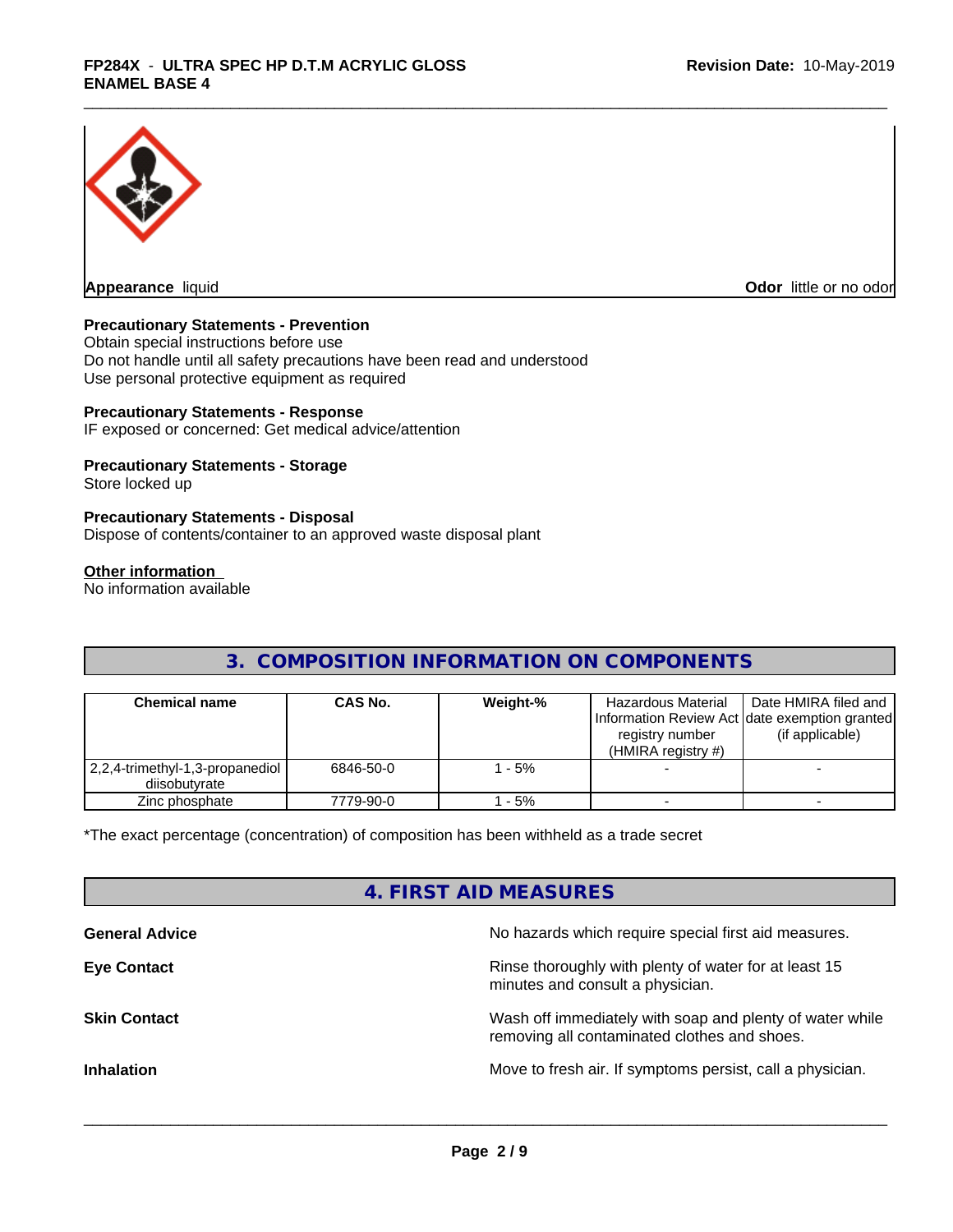

**Appearance** liquid

**Odor** little or no odor

# **Precautionary Statements - Prevention**

Obtain special instructions before use Do not handle until all safety precautions have been read and understood Use personal protective equipment as required

# **Precautionary Statements - Response**

IF exposed or concerned: Get medical advice/attention

# **Precautionary Statements - Storage**

Store locked up

# **Precautionary Statements - Disposal**

Dispose of contents/container to an approved waste disposal plant

#### **Other information**

No information available

# **3. COMPOSITION INFORMATION ON COMPONENTS**

| <b>Chemical name</b>                               | <b>CAS No.</b> | Weight-% | Hazardous Material<br>registry number<br>(HMIRA registry $#$ ) | Date HMIRA filed and<br>Information Review Act Idate exemption granted<br>(if applicable) |
|----------------------------------------------------|----------------|----------|----------------------------------------------------------------|-------------------------------------------------------------------------------------------|
| 2,2,4-trimethyl-1,3-propanediol  <br>diisobutvrate | 6846-50-0      | - 5%     |                                                                |                                                                                           |
| Zinc phosphate                                     | 7779-90-0      | - 5%     |                                                                |                                                                                           |

\*The exact percentage (concentration) of composition has been withheld as a trade secret

# **4. FIRST AID MEASURES**

| <b>General Advice</b> | No hazards which require special first aid measures.                                                     |
|-----------------------|----------------------------------------------------------------------------------------------------------|
| <b>Eye Contact</b>    | Rinse thoroughly with plenty of water for at least 15<br>minutes and consult a physician.                |
| <b>Skin Contact</b>   | Wash off immediately with soap and plenty of water while<br>removing all contaminated clothes and shoes. |
| <b>Inhalation</b>     | Move to fresh air. If symptoms persist, call a physician.                                                |
|                       |                                                                                                          |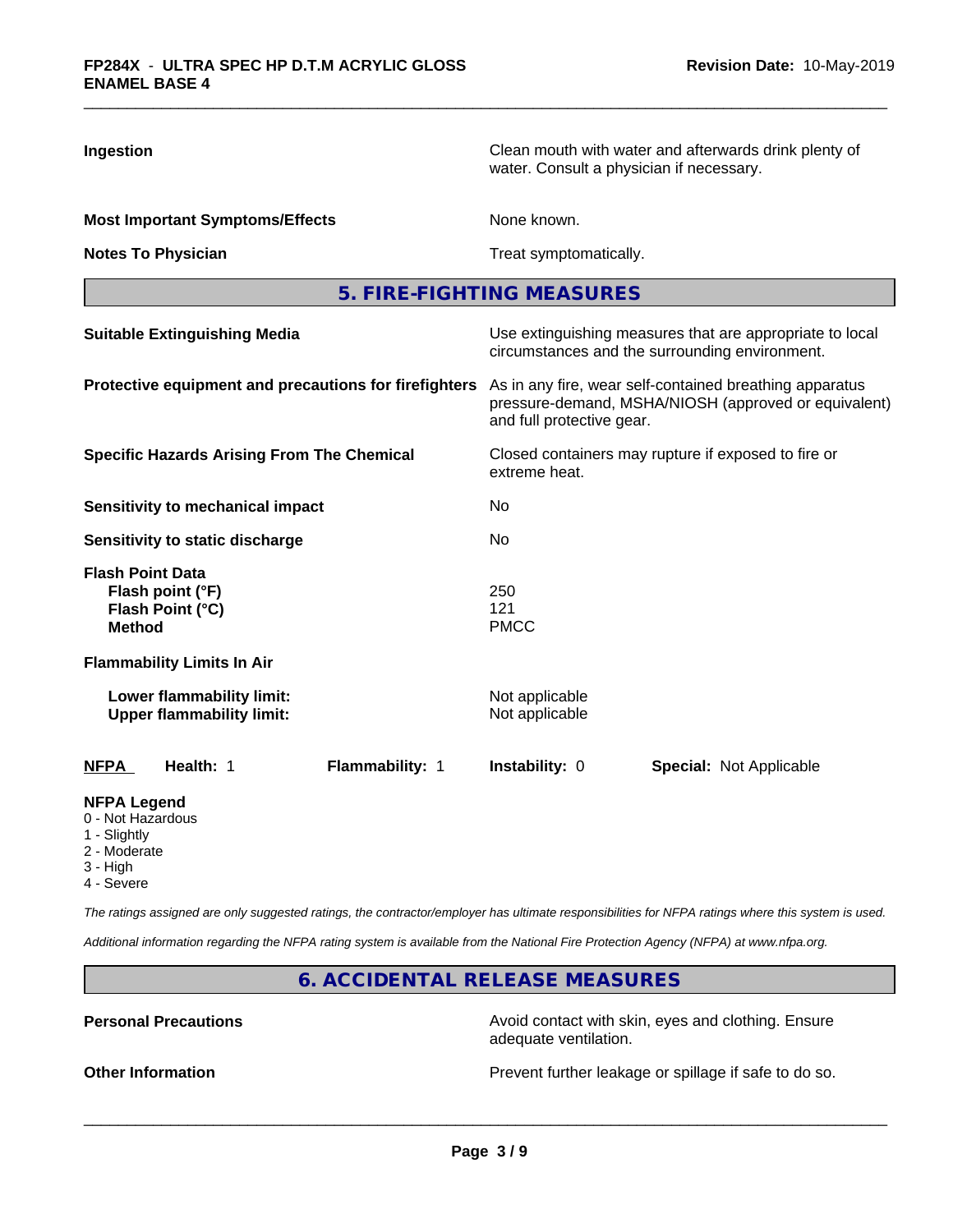| Ingestion                                                                           | Clean mouth with water and afterwards drink plenty of<br>water. Consult a physician if necessary.                                            |  |  |
|-------------------------------------------------------------------------------------|----------------------------------------------------------------------------------------------------------------------------------------------|--|--|
| <b>Most Important Symptoms/Effects</b>                                              | None known.                                                                                                                                  |  |  |
| <b>Notes To Physician</b>                                                           | Treat symptomatically.                                                                                                                       |  |  |
|                                                                                     | 5. FIRE-FIGHTING MEASURES                                                                                                                    |  |  |
| <b>Suitable Extinguishing Media</b>                                                 | Use extinguishing measures that are appropriate to local<br>circumstances and the surrounding environment.                                   |  |  |
| Protective equipment and precautions for firefighters                               | As in any fire, wear self-contained breathing apparatus<br>pressure-demand, MSHA/NIOSH (approved or equivalent)<br>and full protective gear. |  |  |
| <b>Specific Hazards Arising From The Chemical</b>                                   | Closed containers may rupture if exposed to fire or<br>extreme heat.                                                                         |  |  |
| <b>Sensitivity to mechanical impact</b>                                             | No.                                                                                                                                          |  |  |
| Sensitivity to static discharge                                                     | No                                                                                                                                           |  |  |
| <b>Flash Point Data</b><br>Flash point (°F)<br>Flash Point (°C)<br><b>Method</b>    | 250<br>121<br><b>PMCC</b>                                                                                                                    |  |  |
| <b>Flammability Limits In Air</b>                                                   |                                                                                                                                              |  |  |
| Lower flammability limit:<br><b>Upper flammability limit:</b>                       | Not applicable<br>Not applicable                                                                                                             |  |  |
| <u>NFPA</u><br>Health: 1<br>Flammability: 1                                         | Instability: 0<br><b>Special: Not Applicable</b>                                                                                             |  |  |
| <b>NFPA Legend</b><br>0 - Not Hazardous<br>1 - Slightly<br>2 - Moderate<br>3 - High |                                                                                                                                              |  |  |

4 - Severe

*The ratings assigned are only suggested ratings, the contractor/employer has ultimate responsibilities for NFPA ratings where this system is used.*

*Additional information regarding the NFPA rating system is available from the National Fire Protection Agency (NFPA) at www.nfpa.org.*

**6. ACCIDENTAL RELEASE MEASURES**

**Personal Precautions Precautions** Avoid contact with skin, eyes and clothing. Ensure adequate ventilation.

**Other Information Other Information Prevent further leakage or spillage if safe to do so.**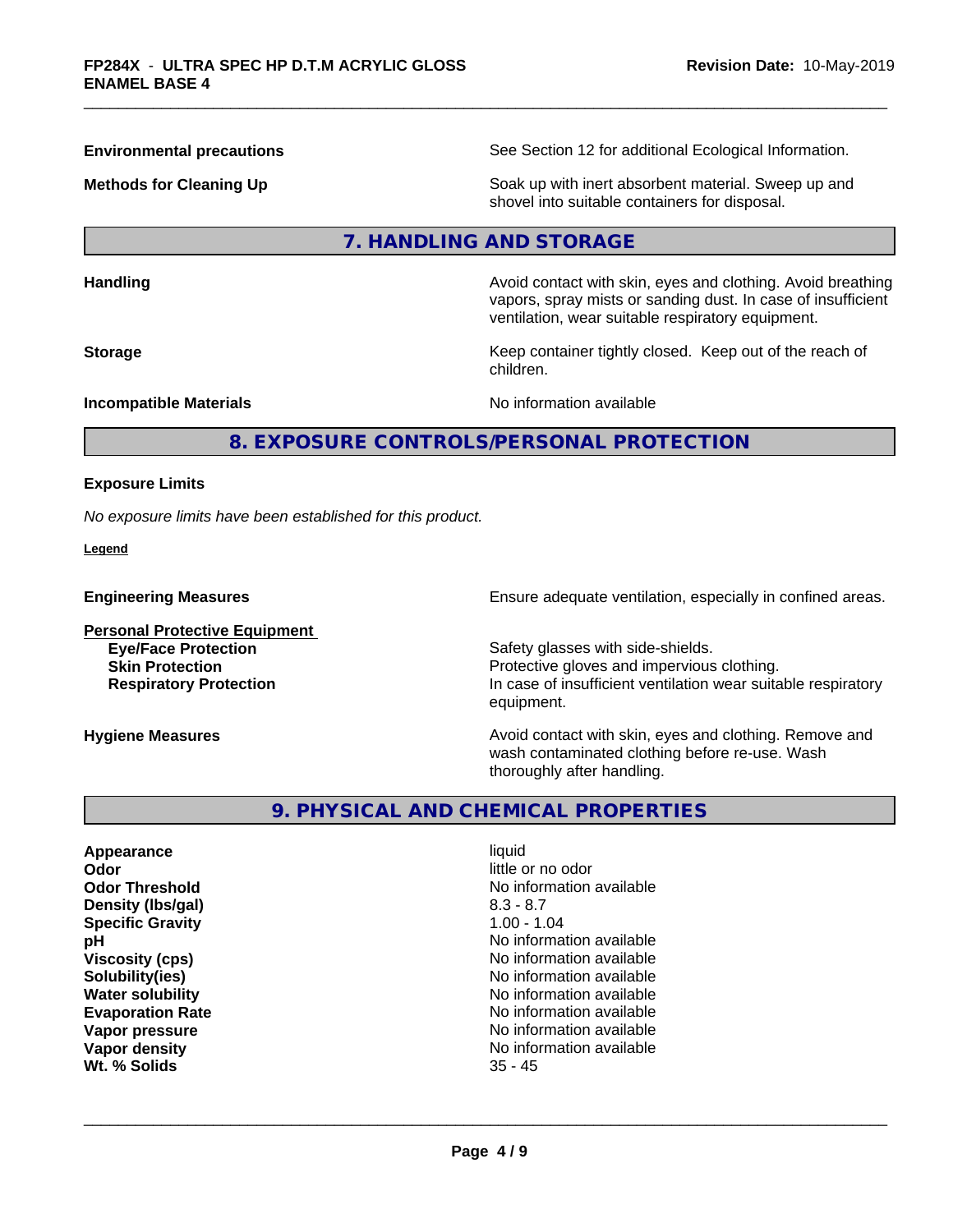**Environmental precautions** See Section 12 for additional Ecological Information.

**Methods for Cleaning Up Example 20 Soak** up with inert absorbent material. Sweep up and shovel into suitable containers for disposal.

# **7. HANDLING AND STORAGE**

**Handling Handling Avoid contact with skin, eyes and clothing. Avoid breathing** 

**Storage Keep container tightly closed. Keep out of the reach of Keep** container tightly closed. Keep out of the reach of

vapors, spray mists or sanding dust. In case of insufficient ventilation, wear suitable respiratory equipment.

**Incompatible Materials Incompatible Materials** 

# **8. EXPOSURE CONTROLS/PERSONAL PROTECTION**

children.

#### **Exposure Limits**

*No exposure limits have been established for this product.*

**Legend**

**Engineering Measures Ensure** Ensure adequate ventilation, especially in confined areas.

**Personal Protective Equipment**

**Eye/Face Protection**<br> **Safety glasses with side-shields.**<br>
Safety glasses with side-shields.<br>
Protective gloves and impervious Protective gloves and impervious clothing. **Respiratory Protection In case of insufficient ventilation wear suitable respiratory** equipment.

**Hygiene Measures Avoid contact with skin, eyes and clothing. Remove and Avoid contact with skin, eyes and clothing. Remove and Avoid contact with skin, eyes and clothing. Remove and** wash contaminated clothing before re-use. Wash thoroughly after handling.

# **9. PHYSICAL AND CHEMICAL PROPERTIES**

**Appearance** liquid **Odor** little or no odor **Density (Ibs/gal)** 8.3 - 8.7<br> **Specific Gravity** 8.3 - 8.7 **Specific Gravity Wt. % Solids** 35 - 45

**Odor Threshold** No information available **pH** No information available **Viscosity (cps)** No information available **Solubility(ies)** No information available **Water solubility** No information available **Evaporation Rate No information available No information available Vapor pressure** No information available No information available **Vapor density No information available No information available**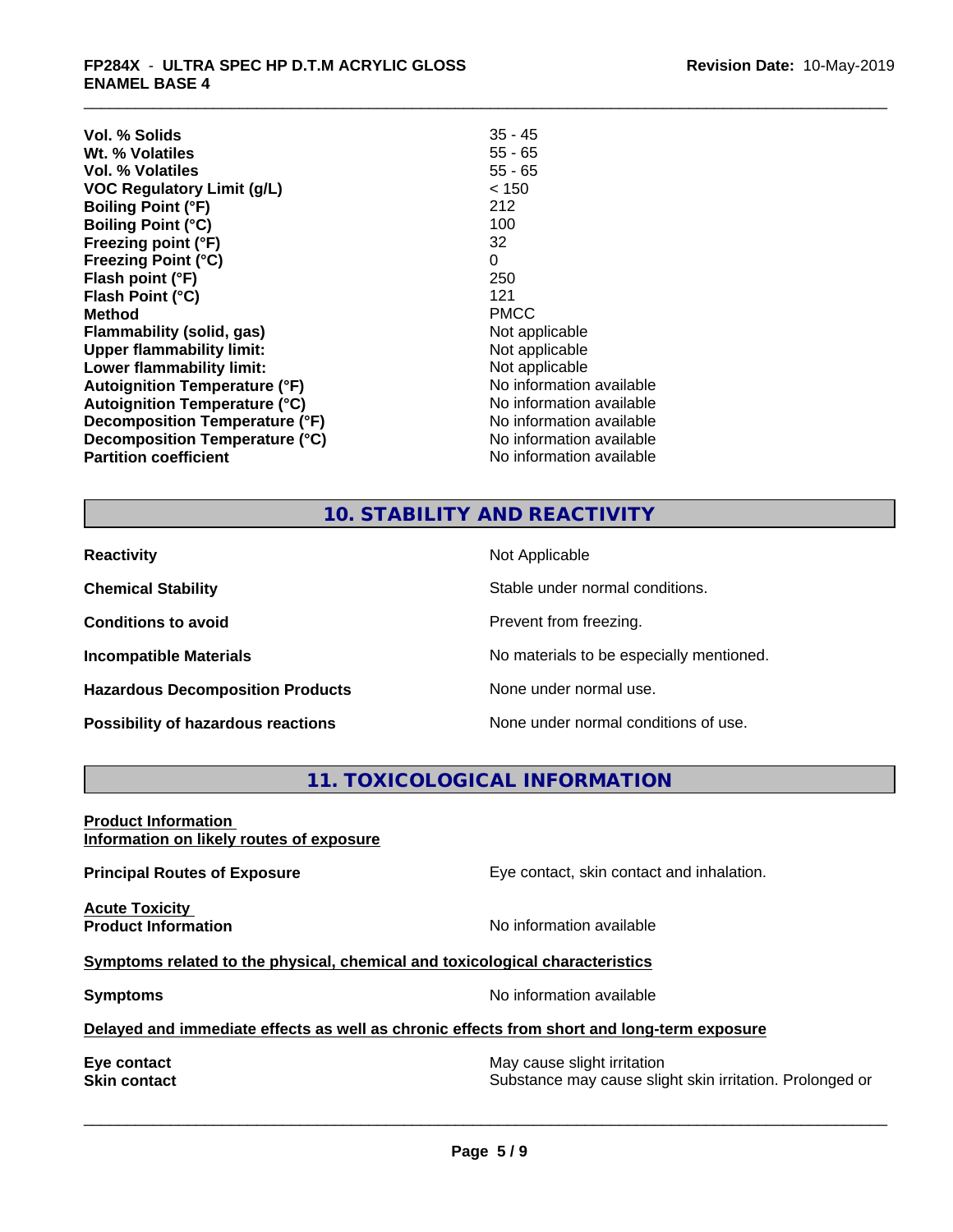| $35 - 45$                |
|--------------------------|
| $55 - 65$                |
| $55 - 65$                |
| < 150                    |
| 212                      |
| 100                      |
| 32                       |
| 0                        |
| 250                      |
| 121                      |
| <b>PMCC</b>              |
| Not applicable           |
| Not applicable           |
| Not applicable           |
| No information available |
| No information available |
| No information available |
| No information available |
| No information available |
|                          |

# **10. STABILITY AND REACTIVITY**

| <b>Reactivity</b>                         | Not Applicable                           |
|-------------------------------------------|------------------------------------------|
| <b>Chemical Stability</b>                 | Stable under normal conditions.          |
| <b>Conditions to avoid</b>                | Prevent from freezing.                   |
| <b>Incompatible Materials</b>             | No materials to be especially mentioned. |
| <b>Hazardous Decomposition Products</b>   | None under normal use.                   |
| <b>Possibility of hazardous reactions</b> | None under normal conditions of use.     |

# **11. TOXICOLOGICAL INFORMATION**

**Product Information Information on likely routes of exposure**

**Acute Toxicity<br>Product Information** 

**Principal Routes of Exposure Exposure** Eye contact, skin contact and inhalation.

**No information available** 

# **Symptoms related to the physical, chemical and toxicological characteristics**

**Symptoms** No information available

 $\overline{\phantom{a}}$  ,  $\overline{\phantom{a}}$  ,  $\overline{\phantom{a}}$  ,  $\overline{\phantom{a}}$  ,  $\overline{\phantom{a}}$  ,  $\overline{\phantom{a}}$  ,  $\overline{\phantom{a}}$  ,  $\overline{\phantom{a}}$  ,  $\overline{\phantom{a}}$  ,  $\overline{\phantom{a}}$  ,  $\overline{\phantom{a}}$  ,  $\overline{\phantom{a}}$  ,  $\overline{\phantom{a}}$  ,  $\overline{\phantom{a}}$  ,  $\overline{\phantom{a}}$  ,  $\overline{\phantom{a}}$ 

# **Delayed and immediate effects as well as chronic effects from short and long-term exposure**

**Eye contact**<br> **Skin contact**<br> **Substance may cause slight irritation**<br>
Substance may cause slight Substance may cause slight skin irritation. Prolonged or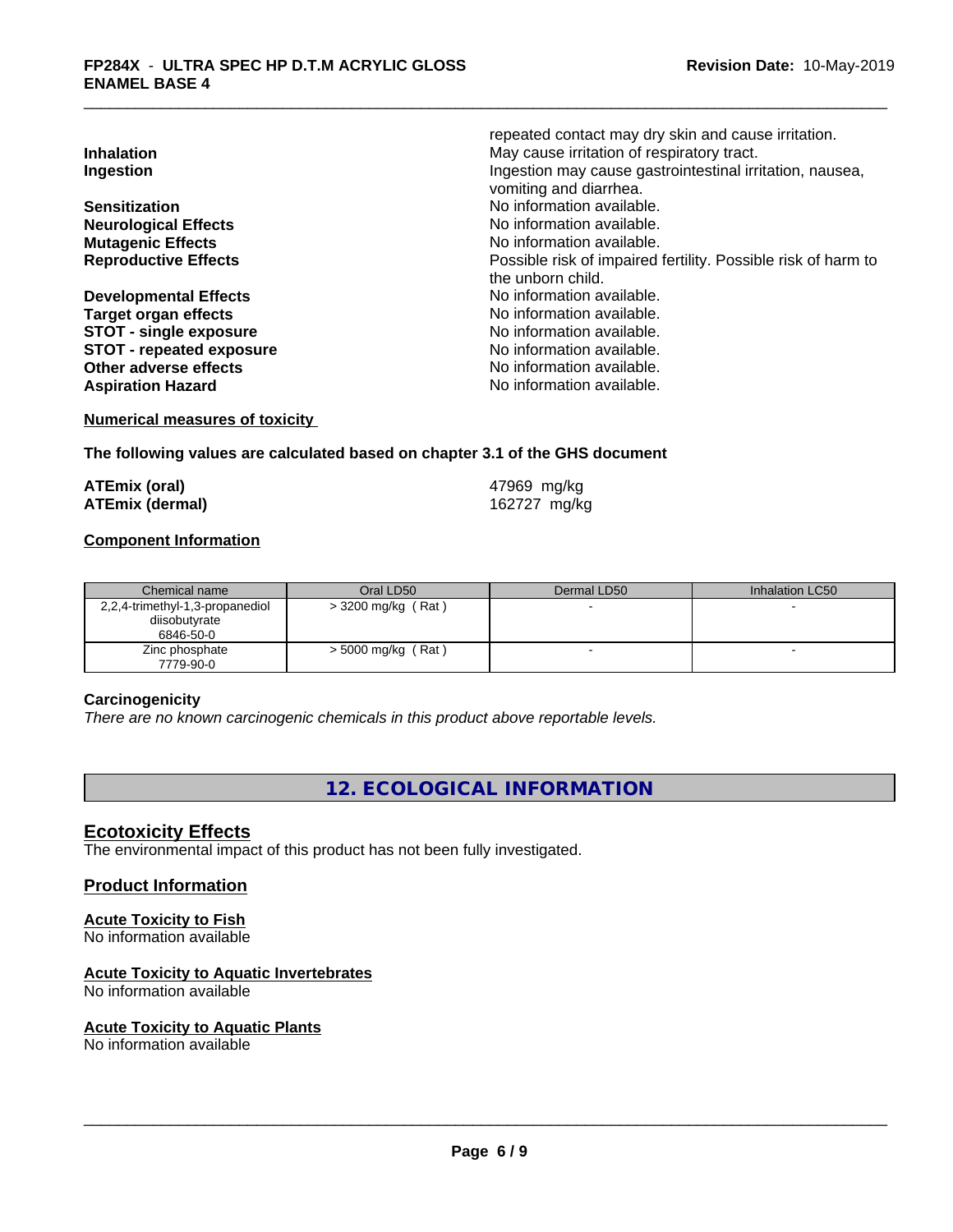|                                 | repeated contact may dry skin and cause irritation.           |
|---------------------------------|---------------------------------------------------------------|
| <b>Inhalation</b>               | May cause irritation of respiratory tract.                    |
| Ingestion                       | Ingestion may cause gastrointestinal irritation, nausea,      |
|                                 | vomiting and diarrhea.                                        |
| <b>Sensitization</b>            | No information available.                                     |
| <b>Neurological Effects</b>     | No information available.                                     |
| <b>Mutagenic Effects</b>        | No information available.                                     |
| <b>Reproductive Effects</b>     | Possible risk of impaired fertility. Possible risk of harm to |
|                                 | the unborn child.                                             |
| <b>Developmental Effects</b>    | No information available.                                     |
| Target organ effects            | No information available.                                     |
| <b>STOT - single exposure</b>   | No information available.                                     |
| <b>STOT - repeated exposure</b> | No information available.                                     |
| Other adverse effects           | No information available.                                     |
| <b>Aspiration Hazard</b>        | No information available.                                     |

#### **Numerical measures of toxicity**

### **The following values are calculated based on chapter 3.1 of the GHS document**

| <b>ATEmix (oral)</b>   | 47969 mg/kg  |
|------------------------|--------------|
| <b>ATEmix (dermal)</b> | 162727 mg/kg |

# **Component Information**

| Chemical name                   | Oral LD50            | Dermal LD50 | Inhalation LC50 |
|---------------------------------|----------------------|-------------|-----------------|
| 2,2,4-trimethyl-1,3-propanediol | $>$ 3200 mg/kg (Rat) |             |                 |
| diisobutyrate                   |                      |             |                 |
| 6846-50-0                       |                      |             |                 |
| Zinc phosphate                  | $>$ 5000 mg/kg (Rat) |             |                 |
| 7779-90-0                       |                      |             |                 |

#### **Carcinogenicity**

*There are no known carcinogenic chemicals in this product above reportable levels.*

# **12. ECOLOGICAL INFORMATION**

# **Ecotoxicity Effects**

The environmental impact of this product has not been fully investigated.

### **Product Information**

#### **Acute Toxicity to Fish** No information available

# **Acute Toxicity to Aquatic Invertebrates**

No information available

# **Acute Toxicity to Aquatic Plants**

No information available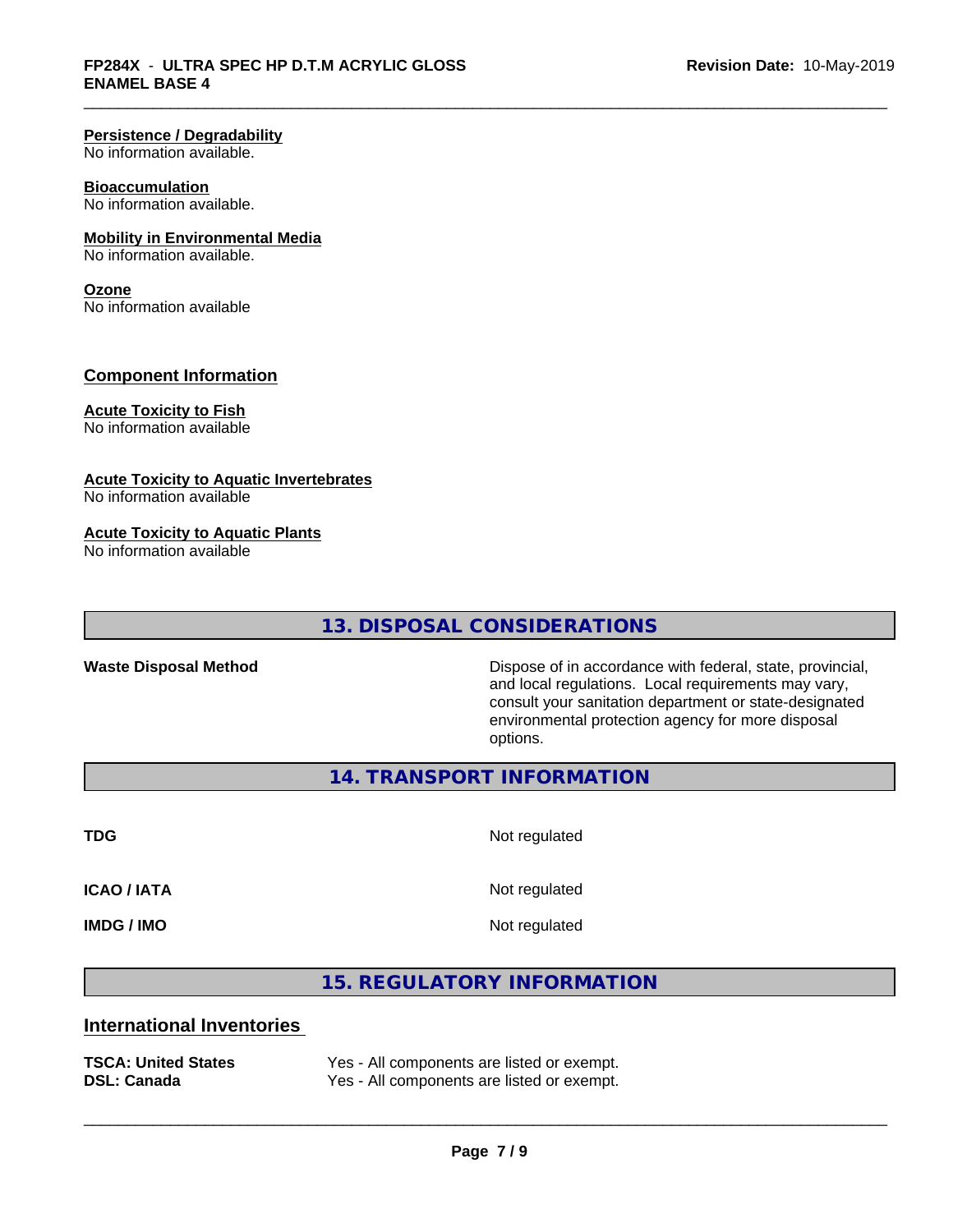#### **Persistence / Degradability**

No information available.

#### **Bioaccumulation**

No information available.

#### **Mobility in Environmental Media**

No information available.

#### **Ozone**

No information available

# **Component Information**

# **Acute Toxicity to Fish**

No information available

#### **Acute Toxicity to Aquatic Invertebrates**

No information available

#### **Acute Toxicity to Aquatic Plants**

No information available

# **13. DISPOSAL CONSIDERATIONS**

**Waste Disposal Method** Dispose of in accordance with federal, state, provincial, and local regulations. Local requirements may vary, consult your sanitation department or state-designated environmental protection agency for more disposal options.

**14. TRANSPORT INFORMATION**

**TDG** Not regulated

**ICAO / IATA** Not regulated

**IMDG / IMO** Not regulated

 $\overline{\phantom{a}}$  ,  $\overline{\phantom{a}}$  ,  $\overline{\phantom{a}}$  ,  $\overline{\phantom{a}}$  ,  $\overline{\phantom{a}}$  ,  $\overline{\phantom{a}}$  ,  $\overline{\phantom{a}}$  ,  $\overline{\phantom{a}}$  ,  $\overline{\phantom{a}}$  ,  $\overline{\phantom{a}}$  ,  $\overline{\phantom{a}}$  ,  $\overline{\phantom{a}}$  ,  $\overline{\phantom{a}}$  ,  $\overline{\phantom{a}}$  ,  $\overline{\phantom{a}}$  ,  $\overline{\phantom{a}}$ 

**15. REGULATORY INFORMATION**

# **International Inventories**

| <b>TSCA: United States</b> | Yes - All components are listed or exempt. |
|----------------------------|--------------------------------------------|
| <b>DSL: Canada</b>         | Yes - All components are listed or exempt. |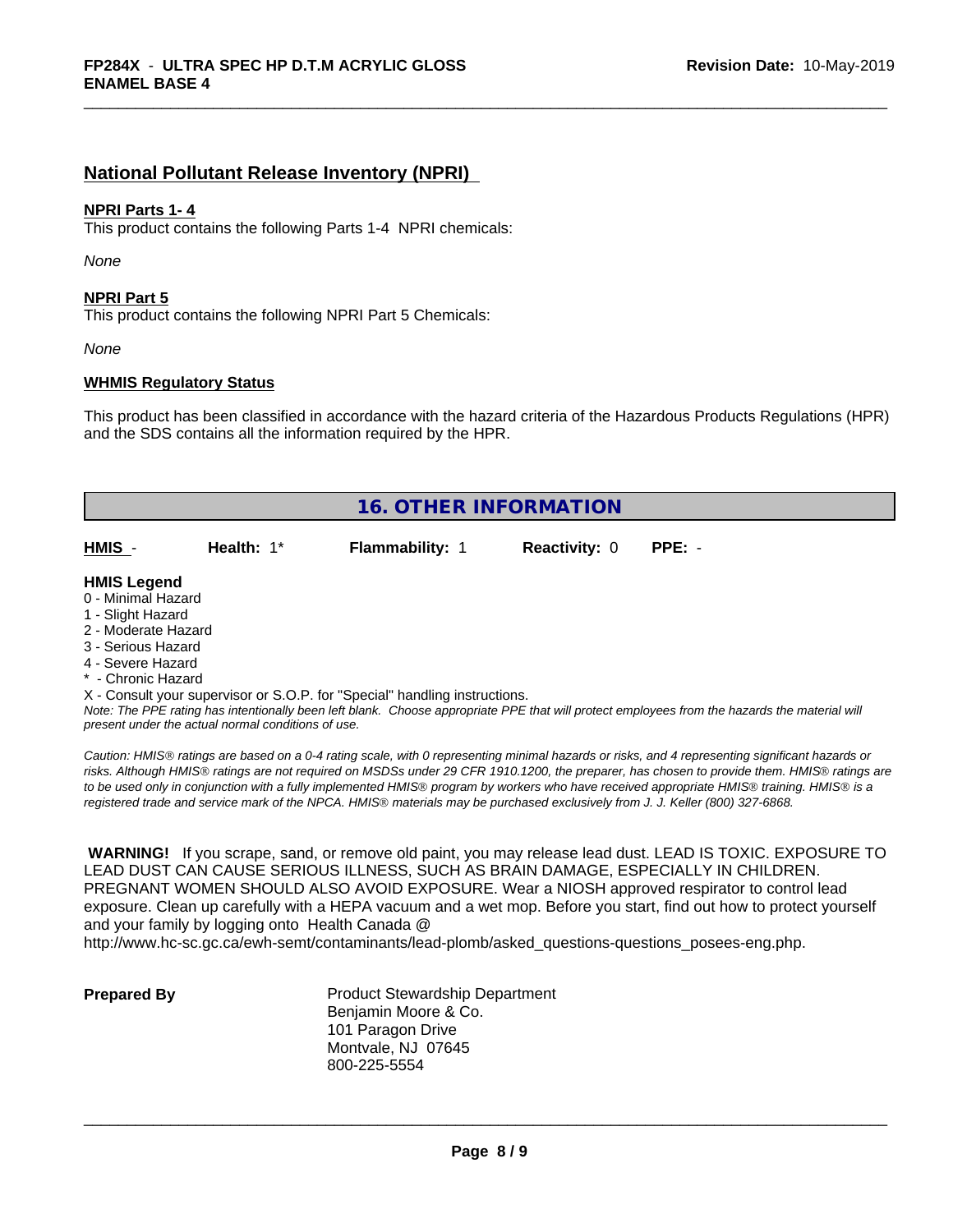# **National Pollutant Release Inventory (NPRI)**

#### **NPRI Parts 1- 4**

This product contains the following Parts 1-4 NPRI chemicals:

*None*

#### **NPRI Part 5**

This product contains the following NPRI Part 5 Chemicals:

*None*

### **WHMIS Regulatory Status**

This product has been classified in accordance with the hazard criteria of the Hazardous Products Regulations (HPR) and the SDS contains all the information required by the HPR.

| <b>16. OTHER INFORMATION</b>                                                                                                    |            |                        |                      |          |
|---------------------------------------------------------------------------------------------------------------------------------|------------|------------------------|----------------------|----------|
| HMIS -                                                                                                                          | Health: 1* | <b>Flammability: 1</b> | <b>Reactivity: 0</b> | $PPE: -$ |
| <b>HMIS Legend</b><br>0 - Minimal Hazard<br>1 - Slight Hazard<br>2 - Moderate Hazard<br>3 - Serious Hazard<br>4 - Severe Hazard |            |                        |                      |          |

\* - Chronic Hazard

X - Consult your supervisor or S.O.P. for "Special" handling instructions.

*Note: The PPE rating has intentionally been left blank. Choose appropriate PPE that will protect employees from the hazards the material will present under the actual normal conditions of use.*

*Caution: HMISÒ ratings are based on a 0-4 rating scale, with 0 representing minimal hazards or risks, and 4 representing significant hazards or risks. Although HMISÒ ratings are not required on MSDSs under 29 CFR 1910.1200, the preparer, has chosen to provide them. HMISÒ ratings are to be used only in conjunction with a fully implemented HMISÒ program by workers who have received appropriate HMISÒ training. HMISÒ is a registered trade and service mark of the NPCA. HMISÒ materials may be purchased exclusively from J. J. Keller (800) 327-6868.*

 **WARNING!** If you scrape, sand, or remove old paint, you may release lead dust. LEAD IS TOXIC. EXPOSURE TO LEAD DUST CAN CAUSE SERIOUS ILLNESS, SUCH AS BRAIN DAMAGE, ESPECIALLY IN CHILDREN. PREGNANT WOMEN SHOULD ALSO AVOID EXPOSURE.Wear a NIOSH approved respirator to control lead exposure. Clean up carefully with a HEPA vacuum and a wet mop. Before you start, find out how to protect yourself and your family by logging onto Health Canada @

http://www.hc-sc.gc.ca/ewh-semt/contaminants/lead-plomb/asked\_questions-questions\_posees-eng.php.

**Prepared By** Product Stewardship Department Benjamin Moore & Co. 101 Paragon Drive Montvale, NJ 07645 800-225-5554